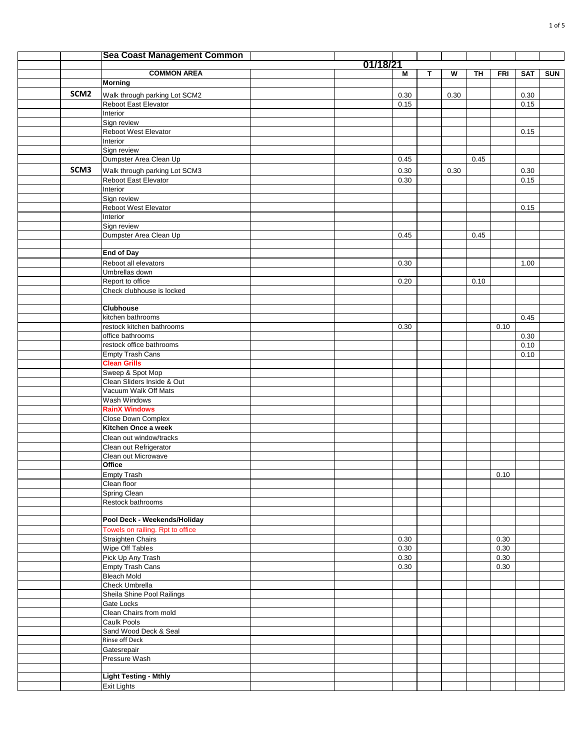|                  | <b>Sea Coast Management Common</b>                    |          |              |   |      |      |            |              |            |
|------------------|-------------------------------------------------------|----------|--------------|---|------|------|------------|--------------|------------|
|                  |                                                       | 01/18/21 |              |   |      |      |            |              |            |
|                  | <b>COMMON AREA</b>                                    |          | Μ            | T | W    | TH   | <b>FRI</b> | <b>SAT</b>   | <b>SUN</b> |
|                  | <b>Morning</b>                                        |          |              |   |      |      |            |              |            |
| SCM <sub>2</sub> | Walk through parking Lot SCM2                         |          | 0.30         |   | 0.30 |      |            | 0.30         |            |
|                  | Reboot East Elevator                                  |          | 0.15         |   |      |      |            | 0.15         |            |
|                  | Interior                                              |          |              |   |      |      |            |              |            |
|                  | Sign review                                           |          |              |   |      |      |            |              |            |
|                  | Reboot West Elevator                                  |          |              |   |      |      |            | 0.15         |            |
|                  | Interior<br>Sign review                               |          |              |   |      |      |            |              |            |
|                  | Dumpster Area Clean Up                                |          | 0.45         |   |      | 0.45 |            |              |            |
| SCM3             |                                                       |          |              |   |      |      |            |              |            |
|                  | Walk through parking Lot SCM3<br>Reboot East Elevator |          | 0.30<br>0.30 |   | 0.30 |      |            | 0.30<br>0.15 |            |
|                  | Interior                                              |          |              |   |      |      |            |              |            |
|                  | Sign review                                           |          |              |   |      |      |            |              |            |
|                  | Reboot West Elevator                                  |          |              |   |      |      |            | 0.15         |            |
|                  | Interior                                              |          |              |   |      |      |            |              |            |
|                  | Sign review                                           |          |              |   |      |      |            |              |            |
|                  | Dumpster Area Clean Up                                |          | 0.45         |   |      | 0.45 |            |              |            |
|                  |                                                       |          |              |   |      |      |            |              |            |
|                  | <b>End of Day</b>                                     |          |              |   |      |      |            |              |            |
|                  | Reboot all elevators                                  |          | 0.30         |   |      |      |            | 1.00         |            |
|                  | Umbrellas down                                        |          |              |   |      |      |            |              |            |
|                  | Report to office                                      |          | 0.20         |   |      | 0.10 |            |              |            |
|                  | Check clubhouse is locked                             |          |              |   |      |      |            |              |            |
|                  | Clubhouse                                             |          |              |   |      |      |            |              |            |
|                  | kitchen bathrooms                                     |          |              |   |      |      |            | 0.45         |            |
|                  | restock kitchen bathrooms                             |          | 0.30         |   |      |      | 0.10       |              |            |
|                  | office bathrooms                                      |          |              |   |      |      |            | 0.30         |            |
|                  | restock office bathrooms                              |          |              |   |      |      |            | 0.10         |            |
|                  | <b>Empty Trash Cans</b>                               |          |              |   |      |      |            | 0.10         |            |
|                  | <b>Clean Grills</b>                                   |          |              |   |      |      |            |              |            |
|                  | Sweep & Spot Mop                                      |          |              |   |      |      |            |              |            |
|                  | Clean Sliders Inside & Out                            |          |              |   |      |      |            |              |            |
|                  | Vacuum Walk Off Mats<br>Wash Windows                  |          |              |   |      |      |            |              |            |
|                  | <b>RainX Windows</b>                                  |          |              |   |      |      |            |              |            |
|                  | <b>Close Down Complex</b>                             |          |              |   |      |      |            |              |            |
|                  | Kitchen Once a week                                   |          |              |   |      |      |            |              |            |
|                  | Clean out window/tracks                               |          |              |   |      |      |            |              |            |
|                  | Clean out Refrigerator                                |          |              |   |      |      |            |              |            |
|                  | Clean out Microwave                                   |          |              |   |      |      |            |              |            |
|                  | Office                                                |          |              |   |      |      |            |              |            |
|                  | <b>Empty Trash</b>                                    |          |              |   |      |      | 0.10       |              |            |
|                  | Clean floor                                           |          |              |   |      |      |            |              |            |
|                  | Spring Clean                                          |          |              |   |      |      |            |              |            |
|                  | Restock bathrooms                                     |          |              |   |      |      |            |              |            |
|                  | Pool Deck - Weekends/Holiday                          |          |              |   |      |      |            |              |            |
|                  | Towels on railing. Rpt to office                      |          |              |   |      |      |            |              |            |
|                  | Straighten Chairs                                     |          | 0.30         |   |      |      | 0.30       |              |            |
|                  | Wipe Off Tables                                       |          | 0.30         |   |      |      | $0.30\,$   |              |            |
|                  | Pick Up Any Trash                                     |          | 0.30         |   |      |      | $0.30\,$   |              |            |
|                  | Empty Trash Cans                                      |          | 0.30         |   |      |      | $0.30\,$   |              |            |
|                  | <b>Bleach Mold</b>                                    |          |              |   |      |      |            |              |            |
|                  | Check Umbrella                                        |          |              |   |      |      |            |              |            |
|                  | Sheila Shine Pool Railings                            |          |              |   |      |      |            |              |            |
|                  | Gate Locks                                            |          |              |   |      |      |            |              |            |
|                  | Clean Chairs from mold                                |          |              |   |      |      |            |              |            |
|                  | Caulk Pools                                           |          |              |   |      |      |            |              |            |
|                  | Sand Wood Deck & Seal                                 |          |              |   |      |      |            |              |            |
|                  | Rinse off Deck                                        |          |              |   |      |      |            |              |            |
|                  | Gatesrepair<br>Pressure Wash                          |          |              |   |      |      |            |              |            |
|                  |                                                       |          |              |   |      |      |            |              |            |
|                  | <b>Light Testing - Mthly</b>                          |          |              |   |      |      |            |              |            |
|                  | <b>Exit Lights</b>                                    |          |              |   |      |      |            |              |            |
|                  |                                                       |          |              |   |      |      |            |              |            |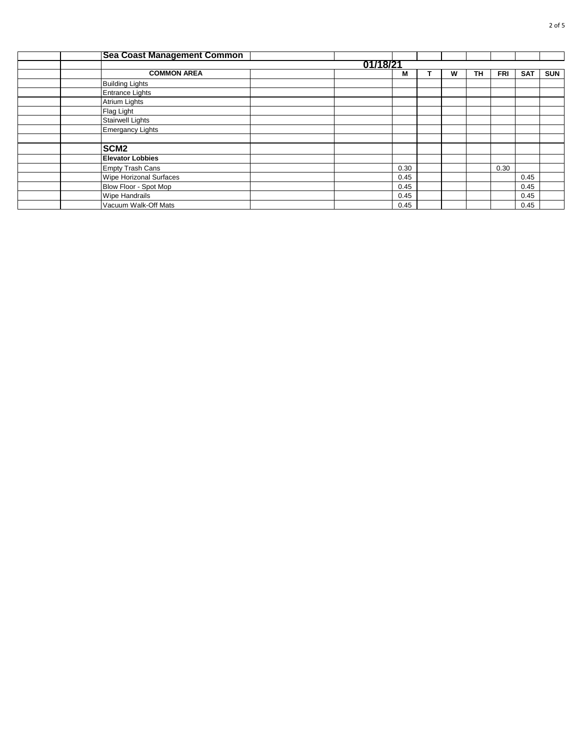| <b>Sea Coast Management Common</b> |          |      |  |   |    |            |            |            |  |  |  |  |  |
|------------------------------------|----------|------|--|---|----|------------|------------|------------|--|--|--|--|--|
|                                    | 01/18/21 |      |  |   |    |            |            |            |  |  |  |  |  |
| <b>COMMON AREA</b>                 |          | м    |  | W | TН | <b>FRI</b> | <b>SAT</b> | <b>SUN</b> |  |  |  |  |  |
| <b>Building Lights</b>             |          |      |  |   |    |            |            |            |  |  |  |  |  |
| <b>Entrance Lights</b>             |          |      |  |   |    |            |            |            |  |  |  |  |  |
| Atrium Lights                      |          |      |  |   |    |            |            |            |  |  |  |  |  |
| Flag Light                         |          |      |  |   |    |            |            |            |  |  |  |  |  |
| <b>Stairwell Lights</b>            |          |      |  |   |    |            |            |            |  |  |  |  |  |
| <b>Emergancy Lights</b>            |          |      |  |   |    |            |            |            |  |  |  |  |  |
|                                    |          |      |  |   |    |            |            |            |  |  |  |  |  |
| SCM <sub>2</sub>                   |          |      |  |   |    |            |            |            |  |  |  |  |  |
| <b>Elevator Lobbies</b>            |          |      |  |   |    |            |            |            |  |  |  |  |  |
| <b>Empty Trash Cans</b>            |          | 0.30 |  |   |    | 0.30       |            |            |  |  |  |  |  |
| Wipe Horizonal Surfaces            |          | 0.45 |  |   |    |            | 0.45       |            |  |  |  |  |  |
| Blow Floor - Spot Mop              |          | 0.45 |  |   |    |            | 0.45       |            |  |  |  |  |  |
| <b>Wipe Handrails</b>              |          | 0.45 |  |   |    |            | 0.45       |            |  |  |  |  |  |
| Vacuum Walk-Off Mats               |          | 0.45 |  |   |    |            | 0.45       |            |  |  |  |  |  |
|                                    |          |      |  |   |    |            |            |            |  |  |  |  |  |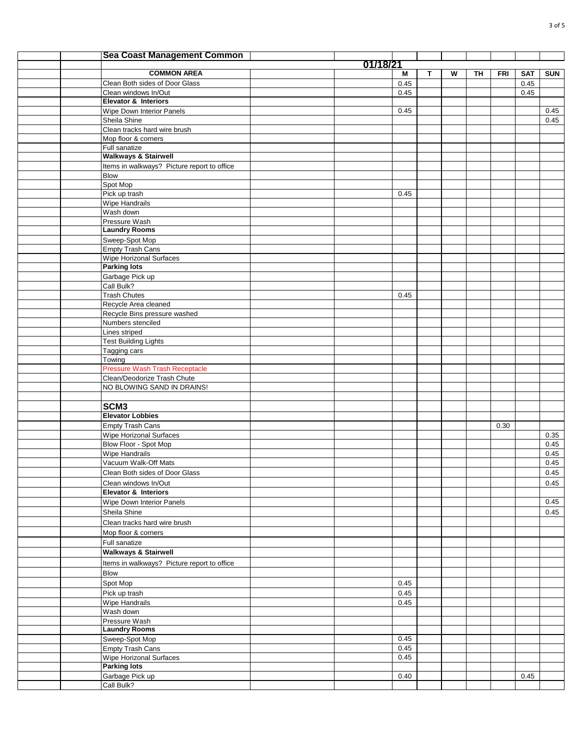|  | <b>Sea Coast Management Common</b>          |          |      |   |   |    |            |            |            |
|--|---------------------------------------------|----------|------|---|---|----|------------|------------|------------|
|  |                                             | 01/18/21 |      |   |   |    |            |            |            |
|  | <b>COMMON AREA</b>                          |          | М    | T | W | TH | <b>FRI</b> | <b>SAT</b> | <b>SUN</b> |
|  | Clean Both sides of Door Glass              |          | 0.45 |   |   |    |            | 0.45       |            |
|  | Clean windows In/Out                        |          | 0.45 |   |   |    |            | 0.45       |            |
|  | Elevator & Interiors                        |          |      |   |   |    |            |            |            |
|  | Wipe Down Interior Panels                   |          | 0.45 |   |   |    |            |            | 0.45       |
|  | Sheila Shine                                |          |      |   |   |    |            |            | 0.45       |
|  | Clean tracks hard wire brush                |          |      |   |   |    |            |            |            |
|  | Mop floor & corners                         |          |      |   |   |    |            |            |            |
|  | Full sanatize                               |          |      |   |   |    |            |            |            |
|  | <b>Walkways &amp; Stairwell</b>             |          |      |   |   |    |            |            |            |
|  | Items in walkways? Picture report to office |          |      |   |   |    |            |            |            |
|  | <b>Blow</b>                                 |          |      |   |   |    |            |            |            |
|  | Spot Mop                                    |          |      |   |   |    |            |            |            |
|  | Pick up trash                               |          | 0.45 |   |   |    |            |            |            |
|  | Wipe Handrails<br>Wash down                 |          |      |   |   |    |            |            |            |
|  | Pressure Wash                               |          |      |   |   |    |            |            |            |
|  | <b>Laundry Rooms</b>                        |          |      |   |   |    |            |            |            |
|  | Sweep-Spot Mop                              |          |      |   |   |    |            |            |            |
|  | <b>Empty Trash Cans</b>                     |          |      |   |   |    |            |            |            |
|  | <b>Wipe Horizonal Surfaces</b>              |          |      |   |   |    |            |            |            |
|  | <b>Parking lots</b>                         |          |      |   |   |    |            |            |            |
|  | Garbage Pick up                             |          |      |   |   |    |            |            |            |
|  | Call Bulk?                                  |          |      |   |   |    |            |            |            |
|  | <b>Trash Chutes</b>                         |          | 0.45 |   |   |    |            |            |            |
|  | Recycle Area cleaned                        |          |      |   |   |    |            |            |            |
|  | Recycle Bins pressure washed                |          |      |   |   |    |            |            |            |
|  | Numbers stenciled                           |          |      |   |   |    |            |            |            |
|  | Lines striped                               |          |      |   |   |    |            |            |            |
|  | <b>Test Building Lights</b>                 |          |      |   |   |    |            |            |            |
|  | Tagging cars                                |          |      |   |   |    |            |            |            |
|  | Towing                                      |          |      |   |   |    |            |            |            |
|  | <b>Pressure Wash Trash Receptacle</b>       |          |      |   |   |    |            |            |            |
|  | Clean/Deodorize Trash Chute                 |          |      |   |   |    |            |            |            |
|  | NO BLOWING SAND IN DRAINS!                  |          |      |   |   |    |            |            |            |
|  |                                             |          |      |   |   |    |            |            |            |
|  | SCM <sub>3</sub>                            |          |      |   |   |    |            |            |            |
|  | <b>Elevator Lobbies</b>                     |          |      |   |   |    |            |            |            |
|  | Empty Trash Cans                            |          |      |   |   |    | 0.30       |            |            |
|  | <b>Wipe Horizonal Surfaces</b>              |          |      |   |   |    |            |            | 0.35       |
|  | Blow Floor - Spot Mop                       |          |      |   |   |    |            |            | 0.45       |
|  | <b>Wipe Handrails</b>                       |          |      |   |   |    |            |            | 0.45       |
|  | Vacuum Walk-Off Mats                        |          |      |   |   |    |            |            | 0.45       |
|  | Clean Both sides of Door Glass              |          |      |   |   |    |            |            | 0.45       |
|  | Clean windows In/Out                        |          |      |   |   |    |            |            | 0.45       |
|  | <b>Elevator &amp; Interiors</b>             |          |      |   |   |    |            |            |            |
|  | Wipe Down Interior Panels                   |          |      |   |   |    |            |            | 0.45       |
|  | Sheila Shine                                |          |      |   |   |    |            |            | 0.45       |
|  | Clean tracks hard wire brush                |          |      |   |   |    |            |            |            |
|  | Mop floor & corners                         |          |      |   |   |    |            |            |            |
|  | Full sanatize                               |          |      |   |   |    |            |            |            |
|  | <b>Walkways &amp; Stairwell</b>             |          |      |   |   |    |            |            |            |
|  |                                             |          |      |   |   |    |            |            |            |
|  | Items in walkways? Picture report to office |          |      |   |   |    |            |            |            |
|  | Blow                                        |          |      |   |   |    |            |            |            |
|  | Spot Mop                                    |          | 0.45 |   |   |    |            |            |            |
|  | Pick up trash                               |          | 0.45 |   |   |    |            |            |            |
|  | Wipe Handrails                              |          | 0.45 |   |   |    |            |            |            |
|  | Wash down                                   |          |      |   |   |    |            |            |            |
|  | Pressure Wash                               |          |      |   |   |    |            |            |            |
|  | <b>Laundry Rooms</b>                        |          |      |   |   |    |            |            |            |
|  | Sweep-Spot Mop                              |          | 0.45 |   |   |    |            |            |            |
|  | <b>Empty Trash Cans</b>                     |          | 0.45 |   |   |    |            |            |            |
|  | Wipe Horizonal Surfaces                     |          | 0.45 |   |   |    |            |            |            |
|  | <b>Parking lots</b>                         |          |      |   |   |    |            |            |            |
|  | Garbage Pick up                             |          | 0.40 |   |   |    |            | 0.45       |            |
|  | Call Bulk?                                  |          |      |   |   |    |            |            |            |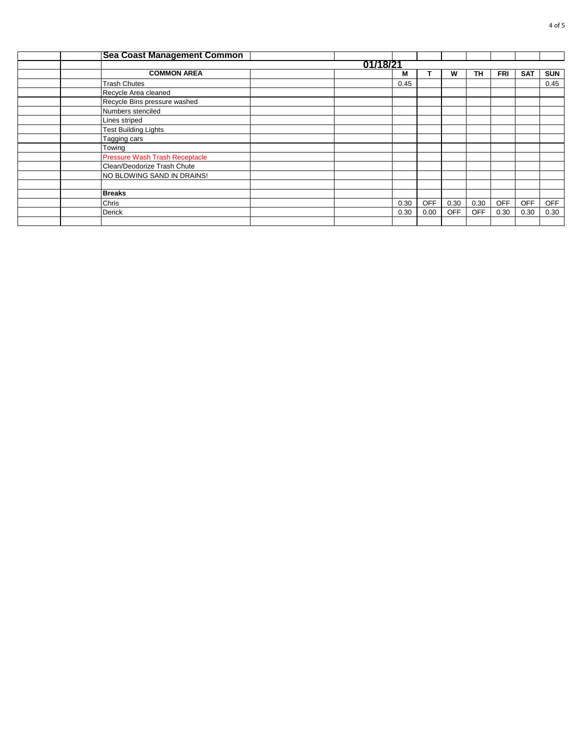| <b>Sea Coast Management Common</b>    |          |  |      |            |            |            |            |            |            |  |  |  |  |
|---------------------------------------|----------|--|------|------------|------------|------------|------------|------------|------------|--|--|--|--|
|                                       | 01/18/21 |  |      |            |            |            |            |            |            |  |  |  |  |
| <b>COMMON AREA</b>                    |          |  | М    |            | W          | <b>TH</b>  | <b>FRI</b> | <b>SAT</b> | <b>SUN</b> |  |  |  |  |
| <b>Trash Chutes</b>                   |          |  | 0.45 |            |            |            |            |            | 0.45       |  |  |  |  |
| Recycle Area cleaned                  |          |  |      |            |            |            |            |            |            |  |  |  |  |
| Recycle Bins pressure washed          |          |  |      |            |            |            |            |            |            |  |  |  |  |
| Numbers stenciled                     |          |  |      |            |            |            |            |            |            |  |  |  |  |
| Lines striped                         |          |  |      |            |            |            |            |            |            |  |  |  |  |
| <b>Test Building Lights</b>           |          |  |      |            |            |            |            |            |            |  |  |  |  |
| Tagging cars                          |          |  |      |            |            |            |            |            |            |  |  |  |  |
| Towing                                |          |  |      |            |            |            |            |            |            |  |  |  |  |
| <b>Pressure Wash Trash Receptacle</b> |          |  |      |            |            |            |            |            |            |  |  |  |  |
| Clean/Deodorize Trash Chute           |          |  |      |            |            |            |            |            |            |  |  |  |  |
| NO BLOWING SAND IN DRAINS!            |          |  |      |            |            |            |            |            |            |  |  |  |  |
|                                       |          |  |      |            |            |            |            |            |            |  |  |  |  |
| <b>Breaks</b>                         |          |  |      |            |            |            |            |            |            |  |  |  |  |
| Chris                                 |          |  | 0.30 | <b>OFF</b> | 0.30       | 0.30       | <b>OFF</b> | <b>OFF</b> | <b>OFF</b> |  |  |  |  |
| <b>Derick</b>                         |          |  | 0.30 | 0.00       | <b>OFF</b> | <b>OFF</b> | 0.30       | 0.30       | 0.30       |  |  |  |  |
|                                       |          |  |      |            |            |            |            |            |            |  |  |  |  |